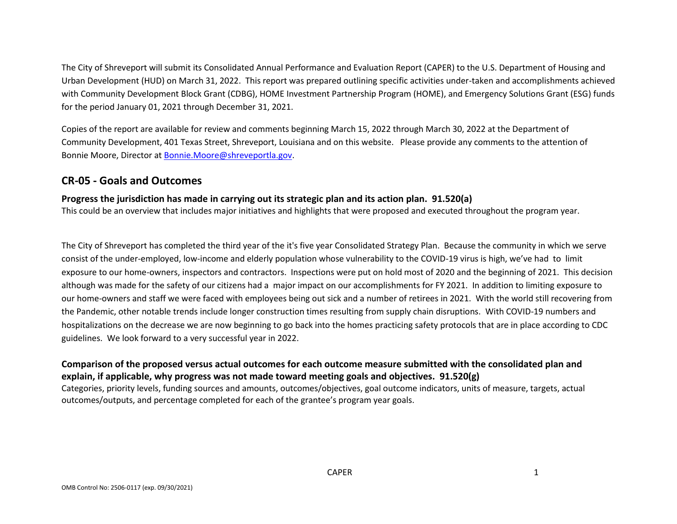The City of Shreveport will submit its Consolidated Annual Performance and Evaluation Report (CAPER) to the U.S. Department of Housing and Urban Development (HUD) on March 31, 2022. This report was prepared outlining specific activities under-taken and accomplishments achieved with Community Development Block Grant (CDBG), HOME Investment Partnership Program (HOME), and Emergency Solutions Grant (ESG) funds for the period January 01, 2021 through December 31, 2021.

Copies of the report are available for review and comments beginning March 15, 2022 through March 30, 2022 at the Department of Community Development, 401 Texas Street, Shreveport, Louisiana and on this website. Please provide any comments to the attention of Bonnie Moore, Director at [Bonnie.Moore@shreveportla.gov.](mailto:Bonnie.Moore@shreveportla.gov)

## **CR-05 - Goals and Outcomes**

### **Progress the jurisdiction has made in carrying out its strategic plan and its action plan. 91.520(a)**

This could be an overview that includes major initiatives and highlights that were proposed and executed throughout the program year.

The City of Shreveport has completed the third year of the it's five year Consolidated Strategy Plan. Because the community in which we serve consist of the under-employed, low-income and elderly population whose vulnerability to the COVID-19 virus is high, we've had to limit exposure to our home-owners, inspectors and contractors. Inspections were put on hold most of 2020 and the beginning of 2021. This decision although was made for the safety of our citizens had a major impact on our accomplishments for FY 2021. In addition to limiting exposure to our home-owners and staff we were faced with employees being out sick and a number of retirees in 2021. With the world still recovering from the Pandemic, other notable trends include longer construction times resulting from supply chain disruptions. With COVID-19 numbers and hospitalizations on the decrease we are now beginning to go back into the homes practicing safety protocols that are in place according to CDC guidelines. We look forward to a very successful year in 2022.

## **Comparison of the proposed versus actual outcomes for each outcome measure submitted with the consolidated plan and explain, if applicable, why progress was not made toward meeting goals and objectives. 91.520(g)**

Categories, priority levels, funding sources and amounts, outcomes/objectives, goal outcome indicators, units of measure, targets, actual outcomes/outputs, and percentage completed for each of the grantee's program year goals.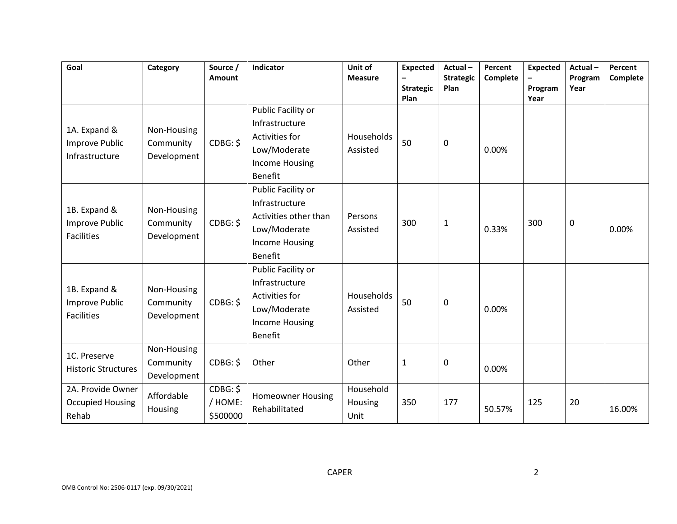| Goal                                                       | Category                                | Source /<br>Amount              | Indicator                                                                                                                | Unit of<br><b>Measure</b>    | <b>Expected</b><br><b>Strategic</b><br>Plan | Actual-<br><b>Strategic</b><br>Plan | Percent<br>Complete | <b>Expected</b><br>Program<br>Year | Actual-<br>Program<br>Year | Percent<br>Complete |
|------------------------------------------------------------|-----------------------------------------|---------------------------------|--------------------------------------------------------------------------------------------------------------------------|------------------------------|---------------------------------------------|-------------------------------------|---------------------|------------------------------------|----------------------------|---------------------|
| 1A. Expand &<br><b>Improve Public</b><br>Infrastructure    | Non-Housing<br>Community<br>Development | CDBG: \$                        | Public Facility or<br>Infrastructure<br>Activities for<br>Low/Moderate<br><b>Income Housing</b><br><b>Benefit</b>        | Households<br>Assisted       | 50                                          | 0                                   | 0.00%               |                                    |                            |                     |
| 1B. Expand &<br><b>Improve Public</b><br><b>Facilities</b> | Non-Housing<br>Community<br>Development | CDBG: \$                        | Public Facility or<br>Infrastructure<br>Activities other than<br>Low/Moderate<br><b>Income Housing</b><br><b>Benefit</b> | Persons<br>Assisted          | 300                                         | 1                                   | 0.33%               | 300                                | 0                          | 0.00%               |
| 1B. Expand &<br><b>Improve Public</b><br><b>Facilities</b> | Non-Housing<br>Community<br>Development | CDBG: \$                        | Public Facility or<br>Infrastructure<br>Activities for<br>Low/Moderate<br><b>Income Housing</b><br><b>Benefit</b>        | Households<br>Assisted       | 50                                          | 0                                   | 0.00%               |                                    |                            |                     |
| 1C. Preserve<br><b>Historic Structures</b>                 | Non-Housing<br>Community<br>Development | CDBG: \$                        | Other                                                                                                                    | Other                        | $\mathbf{1}$                                | 0                                   | 0.00%               |                                    |                            |                     |
| 2A. Provide Owner<br><b>Occupied Housing</b><br>Rehab      | Affordable<br>Housing                   | CDBG: \$<br>/ HOME:<br>\$500000 | <b>Homeowner Housing</b><br>Rehabilitated                                                                                | Household<br>Housing<br>Unit | 350                                         | 177                                 | 50.57%              | 125                                | 20                         | 16.00%              |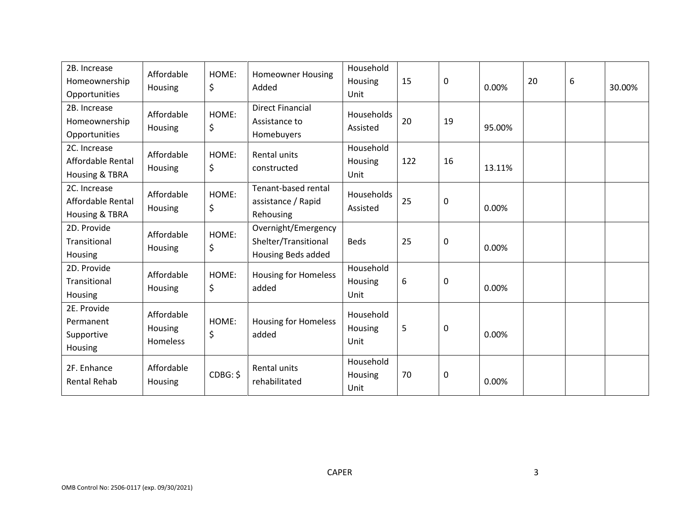| 2B. Increase<br>Homeownership<br>Opportunities      | Affordable<br>Housing             | HOME:<br>\$ | <b>Homeowner Housing</b><br>Added                                 | Household<br>Housing<br>Unit | 15  | 0           | 0.00%  | 20 | 6 | 30.00% |
|-----------------------------------------------------|-----------------------------------|-------------|-------------------------------------------------------------------|------------------------------|-----|-------------|--------|----|---|--------|
| 2B. Increase<br>Homeownership<br>Opportunities      | Affordable<br>Housing             | HOME:<br>\$ | <b>Direct Financial</b><br>Assistance to<br>Homebuyers            | Households<br>Assisted       | 20  | 19          | 95.00% |    |   |        |
| 2C. Increase<br>Affordable Rental<br>Housing & TBRA | Affordable<br>Housing             | HOME:<br>\$ | Rental units<br>constructed                                       | Household<br>Housing<br>Unit | 122 | 16          | 13.11% |    |   |        |
| 2C. Increase<br>Affordable Rental<br>Housing & TBRA | Affordable<br>Housing             | HOME:<br>\$ | Tenant-based rental<br>assistance / Rapid<br>Rehousing            | Households<br>Assisted       | 25  | 0           | 0.00%  |    |   |        |
| 2D. Provide<br>Transitional<br>Housing              | Affordable<br>Housing             | HOME:<br>\$ | Overnight/Emergency<br>Shelter/Transitional<br>Housing Beds added | <b>Beds</b>                  | 25  | 0           | 0.00%  |    |   |        |
| 2D. Provide<br>Transitional<br>Housing              | Affordable<br>Housing             | HOME:<br>\$ | <b>Housing for Homeless</b><br>added                              | Household<br>Housing<br>Unit | 6   | $\mathbf 0$ | 0.00%  |    |   |        |
| 2E. Provide<br>Permanent<br>Supportive<br>Housing   | Affordable<br>Housing<br>Homeless | HOME:<br>\$ | <b>Housing for Homeless</b><br>added                              | Household<br>Housing<br>Unit | 5   | $\mathbf 0$ | 0.00%  |    |   |        |
| 2F. Enhance<br><b>Rental Rehab</b>                  | Affordable<br>Housing             | CDBG: \$    | Rental units<br>rehabilitated                                     | Household<br>Housing<br>Unit | 70  | 0           | 0.00%  |    |   |        |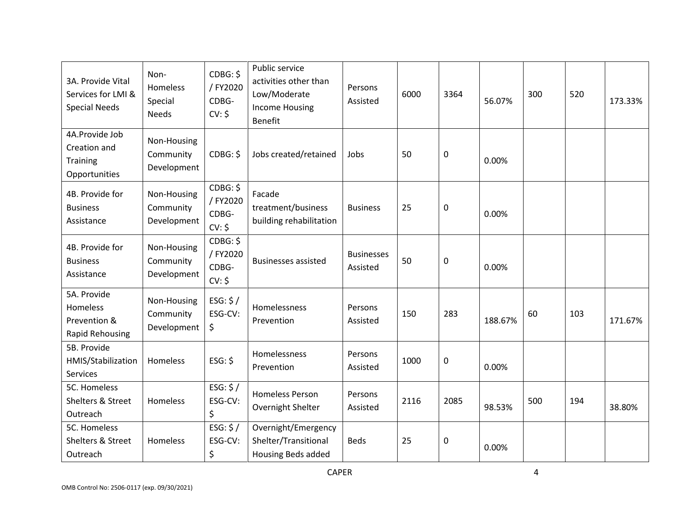| 3A. Provide Vital<br>Services for LMI &<br><b>Special Needs</b>    | Non-<br>Homeless<br>Special<br><b>Needs</b> | CDBG: \$<br>/ FY2020<br>CDBG-<br>CV: \$ | Public service<br>activities other than<br>Low/Moderate<br><b>Income Housing</b><br><b>Benefit</b> | Persons<br>Assisted           | 6000 | 3364 | 56.07%  | 300 | 520 | 173.33% |
|--------------------------------------------------------------------|---------------------------------------------|-----------------------------------------|----------------------------------------------------------------------------------------------------|-------------------------------|------|------|---------|-----|-----|---------|
| 4A.Provide Job<br>Creation and<br><b>Training</b><br>Opportunities | Non-Housing<br>Community<br>Development     | CDBG: \$                                | Jobs created/retained                                                                              | Jobs                          | 50   | 0    | 0.00%   |     |     |         |
| 4B. Provide for<br><b>Business</b><br>Assistance                   | Non-Housing<br>Community<br>Development     | CDBG: \$<br>/ FY2020<br>CDBG-<br>CV: \$ | Facade<br>treatment/business<br>building rehabilitation                                            | <b>Business</b>               | 25   | 0    | 0.00%   |     |     |         |
| 4B. Provide for<br><b>Business</b><br>Assistance                   | Non-Housing<br>Community<br>Development     | CDBG: \$<br>/FY2020<br>CDBG-<br>CV: \$  | <b>Businesses assisted</b>                                                                         | <b>Businesses</b><br>Assisted | 50   | 0    | 0.00%   |     |     |         |
| 5A. Provide<br>Homeless<br>Prevention &<br><b>Rapid Rehousing</b>  | Non-Housing<br>Community<br>Development     | ESG: $$/$<br>ESG-CV:<br>\$              | Homelessness<br>Prevention                                                                         | Persons<br>Assisted           | 150  | 283  | 188.67% | 60  | 103 | 171.67% |
| 5B. Provide<br>HMIS/Stabilization<br>Services                      | Homeless                                    | ESG: \$                                 | Homelessness<br>Prevention                                                                         | Persons<br>Assisted           | 1000 | 0    | 0.00%   |     |     |         |
| 5C. Homeless<br>Shelters & Street<br>Outreach                      | Homeless                                    | ESG: $$/$<br>ESG-CV:<br>\$              | <b>Homeless Person</b><br>Overnight Shelter                                                        | Persons<br>Assisted           | 2116 | 2085 | 98.53%  | 500 | 194 | 38.80%  |
| 5C. Homeless<br>Shelters & Street<br>Outreach                      | Homeless                                    | ESG: $$/$<br>ESG-CV:<br>\$              | Overnight/Emergency<br>Shelter/Transitional<br><b>Housing Beds added</b>                           | <b>Beds</b>                   | 25   | 0    | 0.00%   |     |     |         |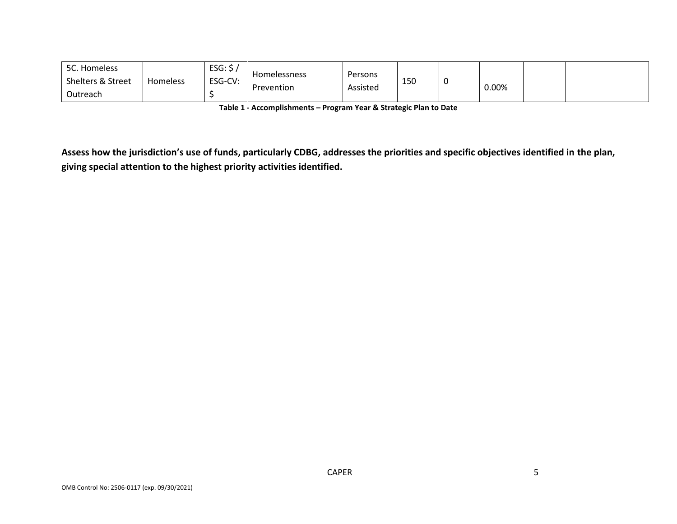| 5C. Homeless                 |          | ESG: \$ |                     |          |     |       |  |  |
|------------------------------|----------|---------|---------------------|----------|-----|-------|--|--|
| <b>Shelters &amp; Street</b> | Homeless | ESG-CV: | <b>Homelessness</b> | Persons  | 150 | 0.00% |  |  |
| Outreach                     |          |         | Prevention          | Assisted |     |       |  |  |

**Table 1 - Accomplishments – Program Year & Strategic Plan to Date**

**Assess how the jurisdiction's use of funds, particularly CDBG, addresses the priorities and specific objectives identified in the plan, giving special attention to the highest priority activities identified.**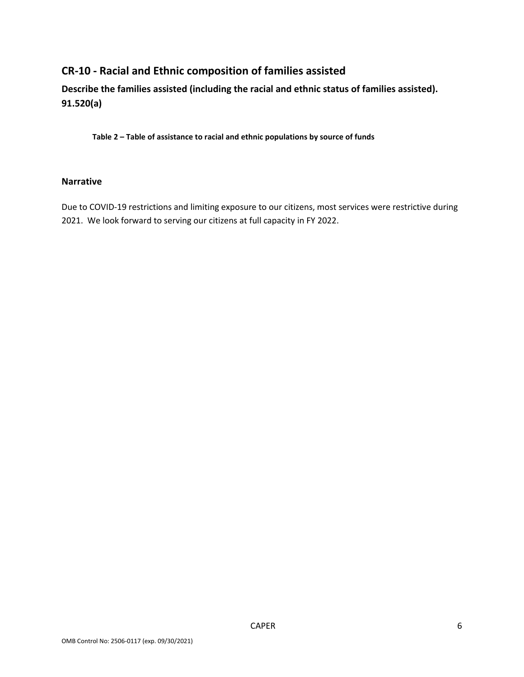# **CR-10 - Racial and Ethnic composition of families assisted**

**Describe the families assisted (including the racial and ethnic status of families assisted). 91.520(a)** 

**Table 2 – Table of assistance to racial and ethnic populations by source of funds**

### **Narrative**

Due to COVID-19 restrictions and limiting exposure to our citizens, most services were restrictive during 2021. We look forward to serving our citizens at full capacity in FY 2022.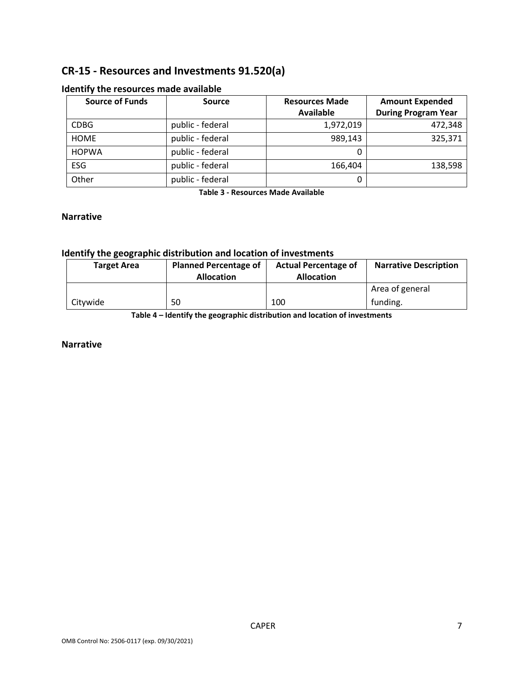## **CR-15 - Resources and Investments 91.520(a)**

| <b>Source of Funds</b> | <b>Source</b>    | <b>Resources Made</b> | <b>Amount Expended</b>     |
|------------------------|------------------|-----------------------|----------------------------|
|                        |                  | Available             | <b>During Program Year</b> |
| <b>CDBG</b>            | public - federal | 1,972,019             | 472,348                    |
| <b>HOME</b>            | public - federal | 989,143               | 325,371                    |
| <b>HOPWA</b>           | public - federal | 0                     |                            |
| <b>ESG</b>             | public - federal | 166,404               | 138,598                    |
| Other                  | public - federal |                       |                            |

#### **Identify the resources made available**

**Table 3 - Resources Made Available**

#### **Narrative**

### **Identify the geographic distribution and location of investments**

| <b>Target Area</b> | <b>Planned Percentage of</b><br><b>Allocation</b> | <b>Actual Percentage of</b><br><b>Allocation</b> | <b>Narrative Description</b> |
|--------------------|---------------------------------------------------|--------------------------------------------------|------------------------------|
|                    |                                                   |                                                  | Area of general              |
| Citvwide           | 50                                                | 100                                              | funding.                     |

**Table 4 – Identify the geographic distribution and location of investments**

#### **Narrative**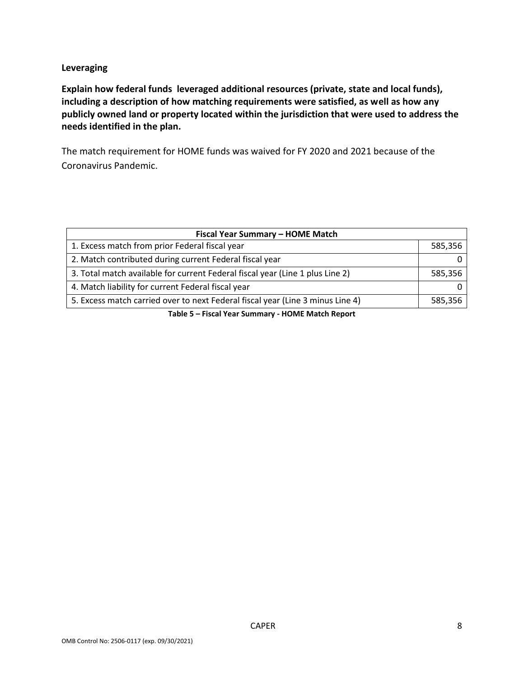### **Leveraging**

**Explain how federal funds leveraged additional resources (private, state and local funds), including a description of how matching requirements were satisfied, as well as how any publicly owned land or property located within the jurisdiction that were used to address the needs identified in the plan.**

The match requirement for HOME funds was waived for FY 2020 and 2021 because of the Coronavirus Pandemic.

| Fiscal Year Summary - HOME Match                                               |         |
|--------------------------------------------------------------------------------|---------|
| 1. Excess match from prior Federal fiscal year                                 | 585,356 |
| 2. Match contributed during current Federal fiscal year                        |         |
| 3. Total match available for current Federal fiscal year (Line 1 plus Line 2)  | 585,356 |
| 4. Match liability for current Federal fiscal year                             |         |
| 5. Excess match carried over to next Federal fiscal year (Line 3 minus Line 4) | 585,356 |
| Table F. Flood Vaca Concertaint HONAF Martill Daniaut                          |         |

**Table 5 – Fiscal Year Summary - HOME Match Report**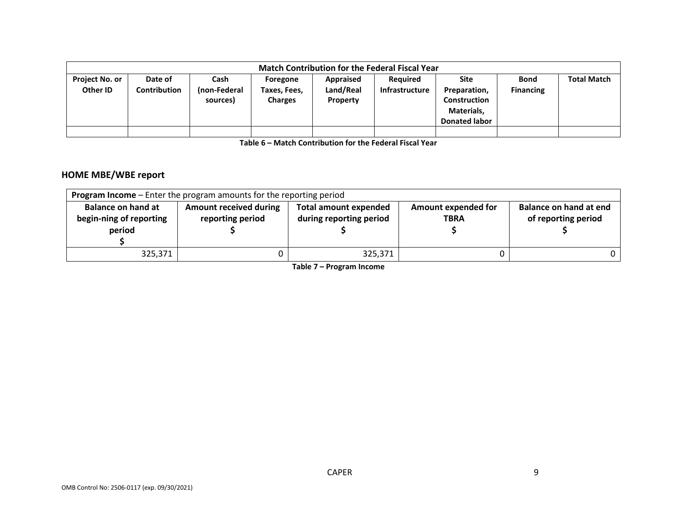|                                   |                         |                                  |                                            |                                    | <b>Match Contribution for the Federal Fiscal Year</b> |                                                                            |                                 |                    |
|-----------------------------------|-------------------------|----------------------------------|--------------------------------------------|------------------------------------|-------------------------------------------------------|----------------------------------------------------------------------------|---------------------------------|--------------------|
| <b>Project No. or</b><br>Other ID | Date of<br>Contribution | Cash<br>(non-Federal<br>sources) | Foregone<br>Taxes, Fees,<br><b>Charges</b> | Appraised<br>Land/Real<br>Property | Required<br>Infrastructure                            | Site<br>Preparation,<br>Construction<br>Materials,<br><b>Donated labor</b> | <b>Bond</b><br><b>Financing</b> | <b>Total Match</b> |
|                                   |                         |                                  |                                            |                                    |                                                       |                                                                            |                                 |                    |

**Table 6 – Match Contribution for the Federal Fiscal Year**

## **HOME MBE/WBE report**

|                                                                | <b>Program Income</b> – Enter the program amounts for the reporting period |                                                         |                                           |                                               |
|----------------------------------------------------------------|----------------------------------------------------------------------------|---------------------------------------------------------|-------------------------------------------|-----------------------------------------------|
| <b>Balance on hand at</b><br>begin-ning of reporting<br>period | <b>Amount received during</b><br>reporting period                          | <b>Total amount expended</b><br>during reporting period | <b>Amount expended for</b><br><b>TBRA</b> | Balance on hand at end<br>of reporting period |
| 325,371                                                        |                                                                            | 325,371                                                 |                                           |                                               |

**Table 7 – Program Income**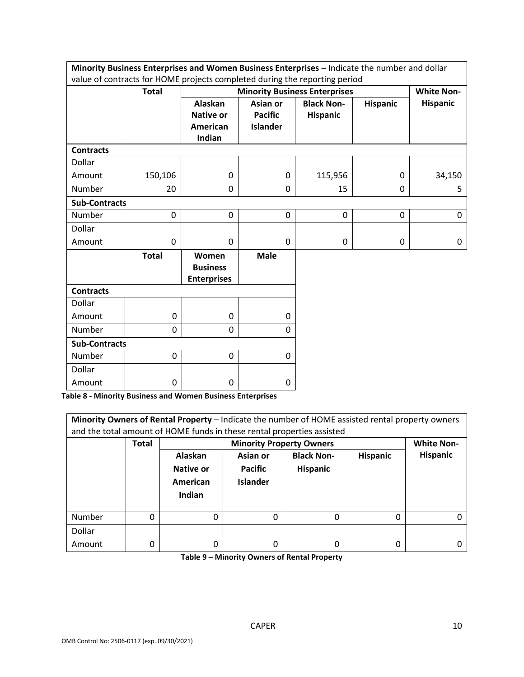|                      | Minority Business Enterprises and Women Business Enterprises - Indicate the number and dollar |                                                |                 |                                      |                 |                   |
|----------------------|-----------------------------------------------------------------------------------------------|------------------------------------------------|-----------------|--------------------------------------|-----------------|-------------------|
|                      | value of contracts for HOME projects completed during the reporting period                    |                                                |                 |                                      |                 |                   |
|                      | <b>Total</b>                                                                                  |                                                |                 | <b>Minority Business Enterprises</b> |                 | <b>White Non-</b> |
|                      |                                                                                               | <b>Alaskan</b>                                 | Asian or        | <b>Black Non-</b>                    | <b>Hispanic</b> | <b>Hispanic</b>   |
|                      |                                                                                               | <b>Native or</b>                               | <b>Pacific</b>  | <b>Hispanic</b>                      |                 |                   |
|                      |                                                                                               | American                                       | <b>Islander</b> |                                      |                 |                   |
|                      |                                                                                               | Indian                                         |                 |                                      |                 |                   |
| <b>Contracts</b>     |                                                                                               |                                                |                 |                                      |                 |                   |
| Dollar               |                                                                                               |                                                |                 |                                      |                 |                   |
| Amount               | 150,106                                                                                       | 0                                              | 0               | 115,956                              | 0               | 34,150            |
| Number               | 20                                                                                            | 0                                              | $\Omega$        | 15                                   | 0               | 5                 |
| <b>Sub-Contracts</b> |                                                                                               |                                                |                 |                                      |                 |                   |
| <b>Number</b>        | 0                                                                                             | 0                                              | 0               | 0                                    | $\mathbf 0$     | 0                 |
| Dollar               |                                                                                               |                                                |                 |                                      |                 |                   |
| Amount               | 0                                                                                             | 0                                              | 0               | 0                                    | 0               | 0                 |
|                      | <b>Total</b>                                                                                  | Women<br><b>Business</b><br><b>Enterprises</b> | <b>Male</b>     |                                      |                 |                   |
| <b>Contracts</b>     |                                                                                               |                                                |                 |                                      |                 |                   |
| Dollar               |                                                                                               |                                                |                 |                                      |                 |                   |
| Amount               | 0                                                                                             | 0                                              | 0               |                                      |                 |                   |
| <b>Number</b>        | 0                                                                                             | 0                                              | $\Omega$        |                                      |                 |                   |
| <b>Sub-Contracts</b> |                                                                                               |                                                |                 |                                      |                 |                   |
| Number               | 0                                                                                             | 0                                              | 0               |                                      |                 |                   |
| Dollar               |                                                                                               |                                                |                 |                                      |                 |                   |
| Amount               | 0                                                                                             | 0                                              | 0               |                                      |                 |                   |

**Table 8 - Minority Business and Women Business Enterprises**

| Minority Owners of Rental Property - Indicate the number of HOME assisted rental property owners<br>and the total amount of HOME funds in these rental properties assisted<br><b>White Non-</b> |       |                                            |                                               |                                      |                 |                 |  |  |  |
|-------------------------------------------------------------------------------------------------------------------------------------------------------------------------------------------------|-------|--------------------------------------------|-----------------------------------------------|--------------------------------------|-----------------|-----------------|--|--|--|
|                                                                                                                                                                                                 | Total |                                            | <b>Minority Property Owners</b>               |                                      |                 |                 |  |  |  |
|                                                                                                                                                                                                 |       | Alaskan<br>Native or<br>American<br>Indian | Asian or<br><b>Pacific</b><br><b>Islander</b> | <b>Black Non-</b><br><b>Hispanic</b> | <b>Hispanic</b> | <b>Hispanic</b> |  |  |  |
| Number                                                                                                                                                                                          | 0     | 0                                          | 0                                             | 0                                    | 0               |                 |  |  |  |
| Dollar                                                                                                                                                                                          |       |                                            |                                               |                                      |                 |                 |  |  |  |
| Amount                                                                                                                                                                                          | 0     | 0                                          | 0                                             | 0                                    | 0               |                 |  |  |  |

**Table 9 – Minority Owners of Rental Property**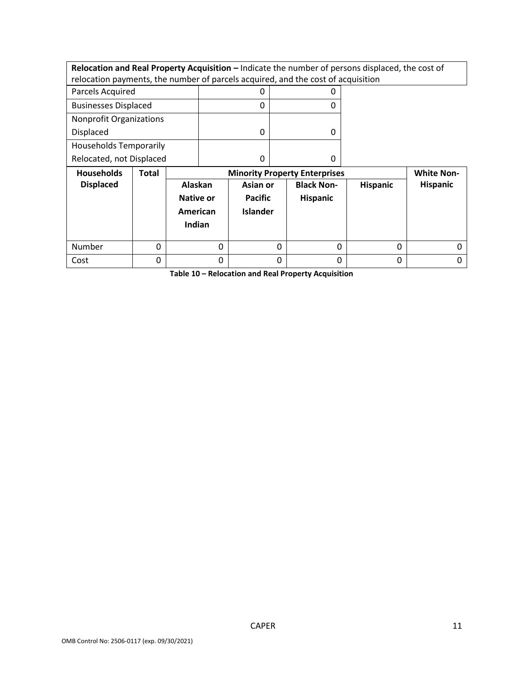|                                                                                  |              |           |   |                 |   |                                      | Relocation and Real Property Acquisition - Indicate the number of persons displaced, the cost of |                   |
|----------------------------------------------------------------------------------|--------------|-----------|---|-----------------|---|--------------------------------------|--------------------------------------------------------------------------------------------------|-------------------|
| relocation payments, the number of parcels acquired, and the cost of acquisition |              |           |   |                 |   |                                      |                                                                                                  |                   |
| Parcels Acquired                                                                 |              |           |   | 0               |   | 0                                    |                                                                                                  |                   |
| <b>Businesses Displaced</b>                                                      |              |           |   | 0               |   | 0                                    |                                                                                                  |                   |
| <b>Nonprofit Organizations</b>                                                   |              |           |   |                 |   |                                      |                                                                                                  |                   |
| <b>Displaced</b>                                                                 |              |           |   | 0               |   | 0                                    |                                                                                                  |                   |
| <b>Households Temporarily</b>                                                    |              |           |   |                 |   |                                      |                                                                                                  |                   |
| Relocated, not Displaced                                                         |              |           |   | 0               |   | 0                                    |                                                                                                  |                   |
|                                                                                  |              |           |   |                 |   |                                      |                                                                                                  |                   |
| <b>Households</b>                                                                | <b>Total</b> |           |   |                 |   | <b>Minority Property Enterprises</b> |                                                                                                  | <b>White Non-</b> |
| <b>Displaced</b>                                                                 |              | Alaskan   |   | Asian or        |   | <b>Black Non-</b>                    | <b>Hispanic</b>                                                                                  | <b>Hispanic</b>   |
|                                                                                  |              | Native or |   | <b>Pacific</b>  |   | Hispanic                             |                                                                                                  |                   |
|                                                                                  |              | American  |   | <b>Islander</b> |   |                                      |                                                                                                  |                   |
|                                                                                  |              | Indian    |   |                 |   |                                      |                                                                                                  |                   |
|                                                                                  |              |           |   |                 |   |                                      |                                                                                                  |                   |
| <b>Number</b>                                                                    | 0            |           | 0 |                 | 0 | $\Omega$                             | $\Omega$                                                                                         |                   |

**Table 10 – Relocation and Real Property Acquisition**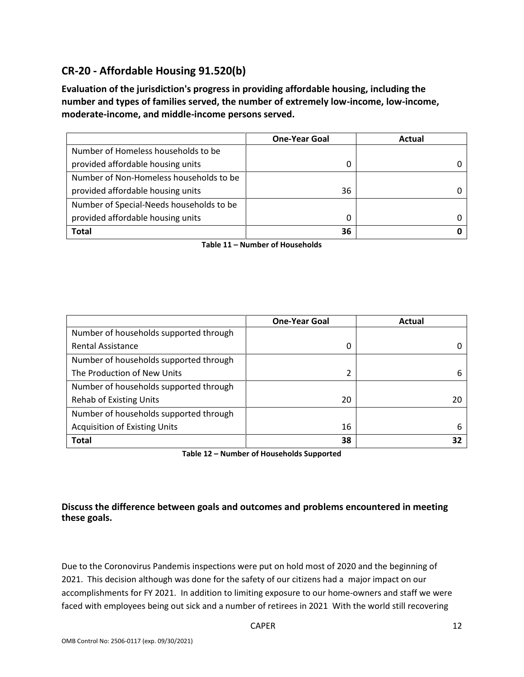# **CR-20 - Affordable Housing 91.520(b)**

**Evaluation of the jurisdiction's progress in providing affordable housing, including the number and types of families served, the number of extremely low-income, low-income, moderate-income, and middle-income persons served.**

|                                          | <b>One-Year Goal</b> | Actual |
|------------------------------------------|----------------------|--------|
| Number of Homeless households to be      |                      |        |
| provided affordable housing units        | O                    |        |
| Number of Non-Homeless households to be  |                      |        |
| provided affordable housing units        | 36                   |        |
| Number of Special-Needs households to be |                      |        |
| provided affordable housing units        | 0                    |        |
| <b>Total</b>                             | 36                   |        |

**Table 11 – Number of Households**

|                                        | <b>One-Year Goal</b> | Actual |
|----------------------------------------|----------------------|--------|
| Number of households supported through |                      |        |
| <b>Rental Assistance</b>               | 0                    |        |
| Number of households supported through |                      |        |
| The Production of New Units            | 2                    |        |
| Number of households supported through |                      |        |
| <b>Rehab of Existing Units</b>         | 20                   |        |
| Number of households supported through |                      |        |
| <b>Acquisition of Existing Units</b>   | 16                   | 6      |
| <b>Total</b>                           | 38                   |        |

**Table 12 – Number of Households Supported**

## **Discuss the difference between goals and outcomes and problems encountered in meeting these goals.**

Due to the Coronovirus Pandemis inspections were put on hold most of 2020 and the beginning of 2021. This decision although was done for the safety of our citizens had a major impact on our accomplishments for FY 2021. In addition to limiting exposure to our home-owners and staff we were faced with employees being out sick and a number of retirees in 2021 With the world still recovering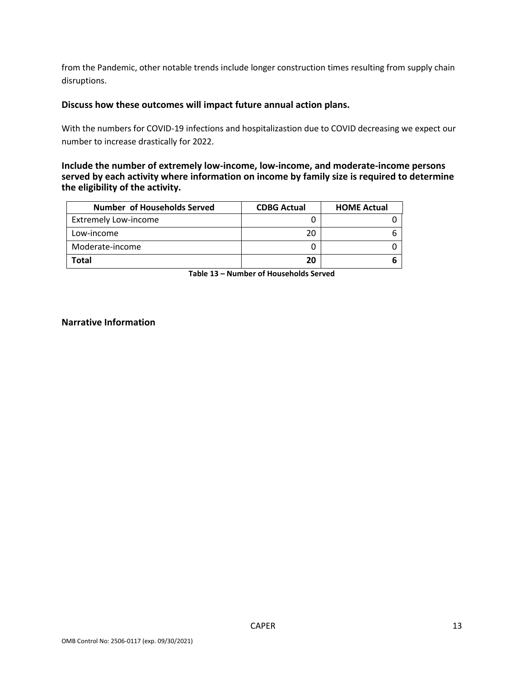from the Pandemic, other notable trends include longer construction times resulting from supply chain disruptions.

#### **Discuss how these outcomes will impact future annual action plans.**

With the numbers for COVID-19 infections and hospitalizastion due to COVID decreasing we expect our number to increase drastically for 2022.

#### **Include the number of extremely low-income, low-income, and moderate-income persons served by each activity where information on income by family size is required to determine the eligibility of the activity.**

| Number of Households Served | <b>CDBG Actual</b> | <b>HOME Actual</b> |
|-----------------------------|--------------------|--------------------|
| <b>Extremely Low-income</b> |                    |                    |
| Low-income                  | 20                 |                    |
| Moderate-income             |                    |                    |
| Total                       | 20                 |                    |

**Table 13 – Number of Households Served**

#### **Narrative Information**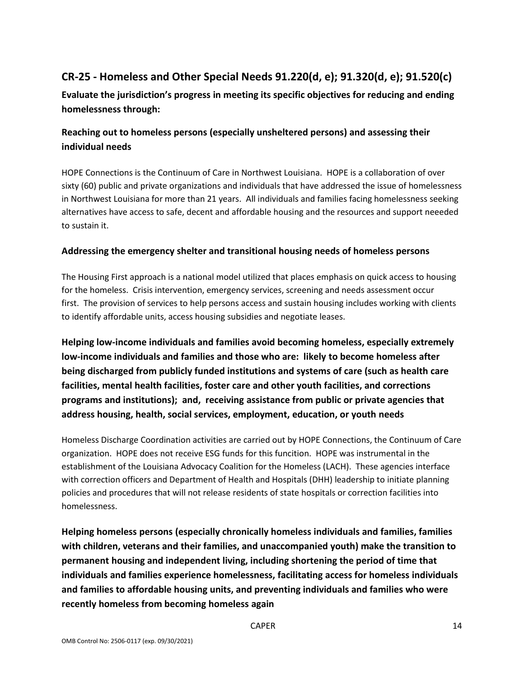# **CR-25 - Homeless and Other Special Needs 91.220(d, e); 91.320(d, e); 91.520(c)**

**Evaluate the jurisdiction's progress in meeting its specific objectives for reducing and ending homelessness through:**

## **Reaching out to homeless persons (especially unsheltered persons) and assessing their individual needs**

HOPE Connections is the Continuum of Care in Northwest Louisiana. HOPE is a collaboration of over sixty (60) public and private organizations and individuals that have addressed the issue of homelessness in Northwest Louisiana for more than 21 years. All individuals and families facing homelessness seeking alternatives have access to safe, decent and affordable housing and the resources and support neeeded to sustain it.

## **Addressing the emergency shelter and transitional housing needs of homeless persons**

The Housing First approach is a national model utilized that places emphasis on quick access to housing for the homeless. Crisis intervention, emergency services, screening and needs assessment occur first. The provision of services to help persons access and sustain housing includes working with clients to identify affordable units, access housing subsidies and negotiate leases.

**Helping low-income individuals and families avoid becoming homeless, especially extremely low-income individuals and families and those who are: likely to become homeless after being discharged from publicly funded institutions and systems of care (such as health care facilities, mental health facilities, foster care and other youth facilities, and corrections programs and institutions); and, receiving assistance from public or private agencies that address housing, health, social services, employment, education, or youth needs**

Homeless Discharge Coordination activities are carried out by HOPE Connections, the Continuum of Care organization. HOPE does not receive ESG funds for this funcition. HOPE was instrumental in the establishment of the Louisiana Advocacy Coalition for the Homeless (LACH). These agencies interface with correction officers and Department of Health and Hospitals (DHH) leadership to initiate planning policies and procedures that will not release residents of state hospitals or correction facilities into homelessness.

**Helping homeless persons (especially chronically homeless individuals and families, families with children, veterans and their families, and unaccompanied youth) make the transition to permanent housing and independent living, including shortening the period of time that individuals and families experience homelessness, facilitating access for homeless individuals and families to affordable housing units, and preventing individuals and families who were recently homeless from becoming homeless again**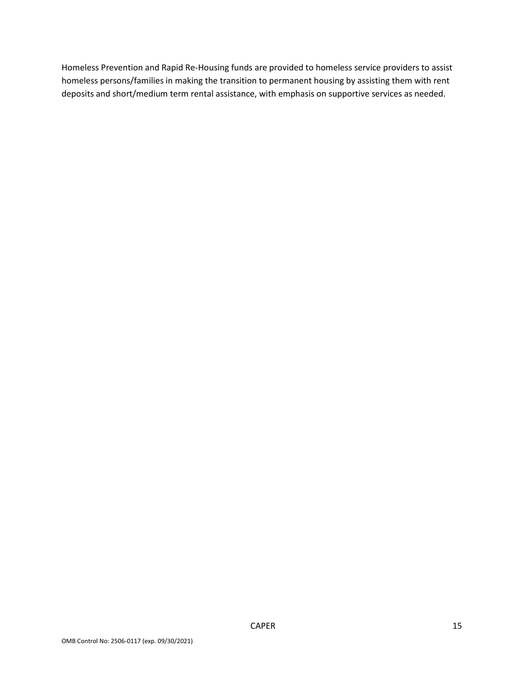Homeless Prevention and Rapid Re-Housing funds are provided to homeless service providers to assist homeless persons/families in making the transition to permanent housing by assisting them with rent deposits and short/medium term rental assistance, with emphasis on supportive services as needed.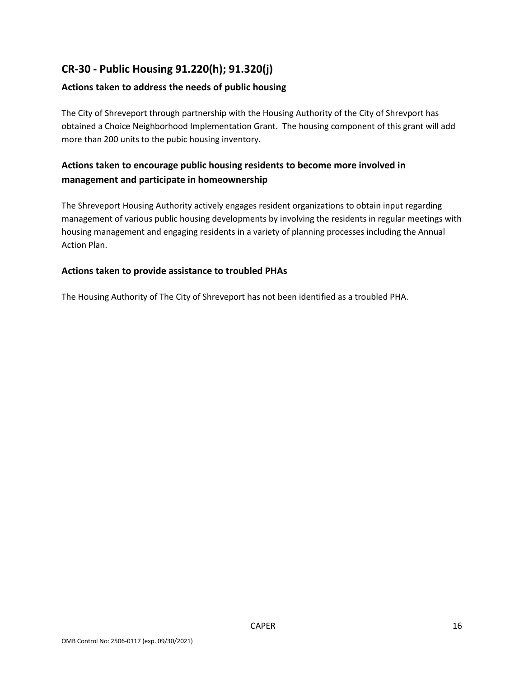# **CR-30 - Public Housing 91.220(h); 91.320(j)**

## **Actions taken to address the needs of public housing**

The City of Shreveport through partnership with the Housing Authority of the City of Shrevport has obtained a Choice Neighborhood Implementation Grant. The housing component of this grant will add more than 200 units to the pubic housing inventory.

## **Actions taken to encourage public housing residents to become more involved in management and participate in homeownership**

The Shreveport Housing Authority actively engages resident organizations to obtain input regarding management of various public housing developments by involving the residents in regular meetings with housing management and engaging residents in a variety of planning processes including the Annual Action Plan.

## **Actions taken to provide assistance to troubled PHAs**

The Housing Authority of The City of Shreveport has not been identified as a troubled PHA.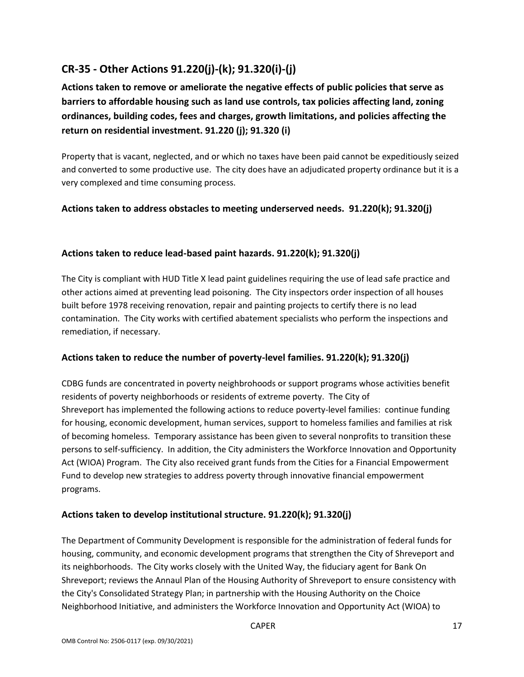# **CR-35 - Other Actions 91.220(j)-(k); 91.320(i)-(j)**

**Actions taken to remove or ameliorate the negative effects of public policies that serve as barriers to affordable housing such as land use controls, tax policies affecting land, zoning ordinances, building codes, fees and charges, growth limitations, and policies affecting the return on residential investment. 91.220 (j); 91.320 (i)**

Property that is vacant, neglected, and or which no taxes have been paid cannot be expeditiously seized and converted to some productive use. The city does have an adjudicated property ordinance but it is a very complexed and time consuming process.

## **Actions taken to address obstacles to meeting underserved needs. 91.220(k); 91.320(j)**

### **Actions taken to reduce lead-based paint hazards. 91.220(k); 91.320(j)**

The City is compliant with HUD Title X lead paint guidelines requiring the use of lead safe practice and other actions aimed at preventing lead poisoning. The City inspectors order inspection of all houses built before 1978 receiving renovation, repair and painting projects to certify there is no lead contamination. The City works with certified abatement specialists who perform the inspections and remediation, if necessary.

### **Actions taken to reduce the number of poverty-level families. 91.220(k); 91.320(j)**

CDBG funds are concentrated in poverty neighbrohoods or support programs whose activities benefit residents of poverty neighborhoods or residents of extreme poverty. The City of Shreveport has implemented the following actions to reduce poverty-level families: continue funding for housing, economic development, human services, support to homeless families and families at risk of becoming homeless. Temporary assistance has been given to several nonprofits to transition these persons to self-sufficiency. In addition, the City administers the Workforce Innovation and Opportunity Act (WIOA) Program. The City also received grant funds from the Cities for a Financial Empowerment Fund to develop new strategies to address poverty through innovative financial empowerment programs.

### **Actions taken to develop institutional structure. 91.220(k); 91.320(j)**

The Department of Community Development is responsible for the administration of federal funds for housing, community, and economic development programs that strengthen the City of Shreveport and its neighborhoods. The City works closely with the United Way, the fiduciary agent for Bank On Shreveport; reviews the Annaul Plan of the Housing Authority of Shreveport to ensure consistency with the City's Consolidated Strategy Plan; in partnership with the Housing Authority on the Choice Neighborhood Initiative, and administers the Workforce Innovation and Opportunity Act (WIOA) to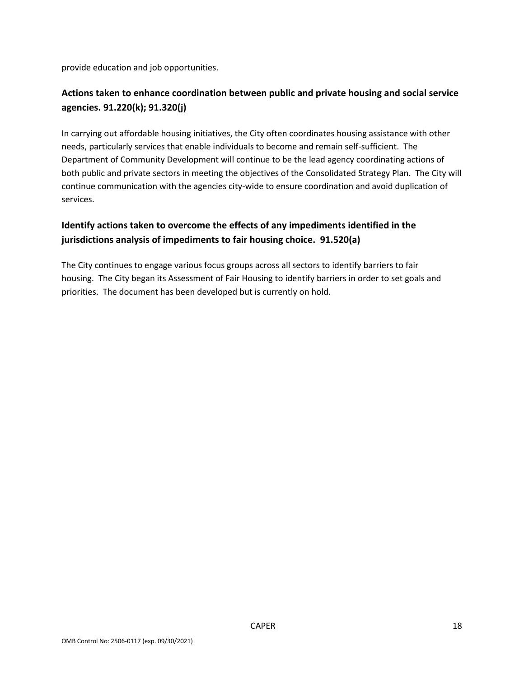provide education and job opportunities.

## **Actions taken to enhance coordination between public and private housing and social service agencies. 91.220(k); 91.320(j)**

In carrying out affordable housing initiatives, the City often coordinates housing assistance with other needs, particularly services that enable individuals to become and remain self-sufficient. The Department of Community Development will continue to be the lead agency coordinating actions of both public and private sectors in meeting the objectives of the Consolidated Strategy Plan. The City will continue communication with the agencies city-wide to ensure coordination and avoid duplication of services.

## **Identify actions taken to overcome the effects of any impediments identified in the jurisdictions analysis of impediments to fair housing choice. 91.520(a)**

The City continues to engage various focus groups across all sectors to identify barriers to fair housing. The City began its Assessment of Fair Housing to identify barriers in order to set goals and priorities. The document has been developed but is currently on hold.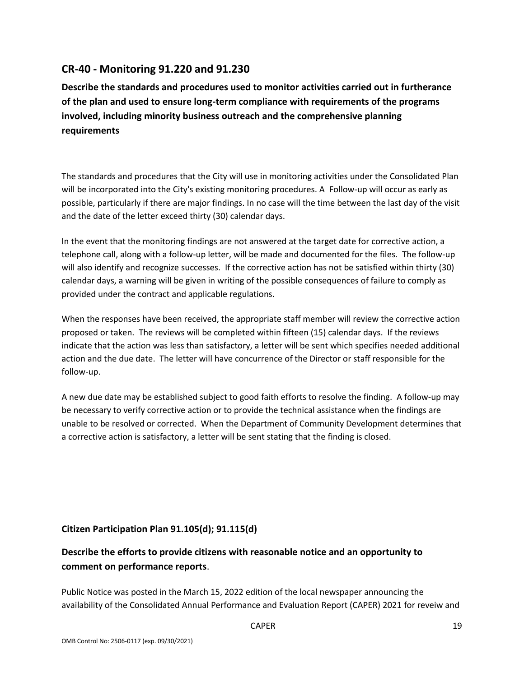## **CR-40 - Monitoring 91.220 and 91.230**

**Describe the standards and procedures used to monitor activities carried out in furtherance of the plan and used to ensure long-term compliance with requirements of the programs involved, including minority business outreach and the comprehensive planning requirements**

The standards and procedures that the City will use in monitoring activities under the Consolidated Plan will be incorporated into the City's existing monitoring procedures. A Follow-up will occur as early as possible, particularly if there are major findings. In no case will the time between the last day of the visit and the date of the letter exceed thirty (30) calendar days.

In the event that the monitoring findings are not answered at the target date for corrective action, a telephone call, along with a follow-up letter, will be made and documented for the files. The follow-up will also identify and recognize successes. If the corrective action has not be satisfied within thirty (30) calendar days, a warning will be given in writing of the possible consequences of failure to comply as provided under the contract and applicable regulations.

When the responses have been received, the appropriate staff member will review the corrective action proposed or taken. The reviews will be completed within fifteen (15) calendar days. If the reviews indicate that the action was less than satisfactory, a letter will be sent which specifies needed additional action and the due date. The letter will have concurrence of the Director or staff responsible for the follow-up.

A new due date may be established subject to good faith efforts to resolve the finding. A follow-up may be necessary to verify corrective action or to provide the technical assistance when the findings are unable to be resolved or corrected. When the Department of Community Development determines that a corrective action is satisfactory, a letter will be sent stating that the finding is closed.

### **Citizen Participation Plan 91.105(d); 91.115(d)**

## **Describe the efforts to provide citizens with reasonable notice and an opportunity to comment on performance reports**.

Public Notice was posted in the March 15, 2022 edition of the local newspaper announcing the availability of the Consolidated Annual Performance and Evaluation Report (CAPER) 2021 for reveiw and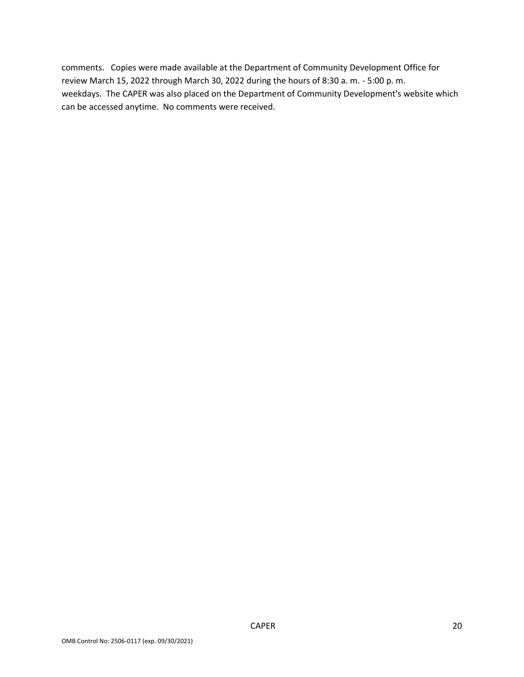comments. Copies were made available at the Department of Community Development Office for review March 15, 2022 through March 30, 2022 during the hours of 8:30 a. m. - 5:00 p. m. weekdays. The CAPER was also placed on the Department of Community Development's website which can be accessed anytime. No comments were received.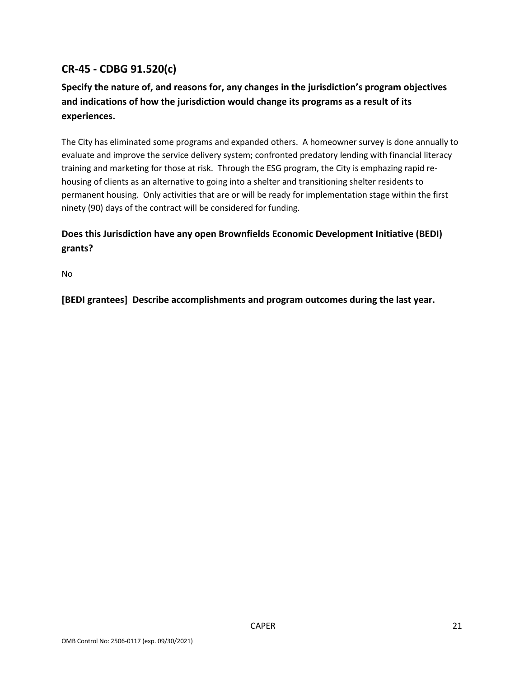# **CR-45 - CDBG 91.520(c)**

## **Specify the nature of, and reasons for, any changes in the jurisdiction's program objectives and indications of how the jurisdiction would change its programs as a result of its experiences.**

The City has eliminated some programs and expanded others. A homeowner survey is done annually to evaluate and improve the service delivery system; confronted predatory lending with financial literacy training and marketing for those at risk. Through the ESG program, the City is emphazing rapid rehousing of clients as an alternative to going into a shelter and transitioning shelter residents to permanent housing. Only activities that are or will be ready for implementation stage within the first ninety (90) days of the contract will be considered for funding.

## **Does this Jurisdiction have any open Brownfields Economic Development Initiative (BEDI) grants?**

No

**[BEDI grantees] Describe accomplishments and program outcomes during the last year.**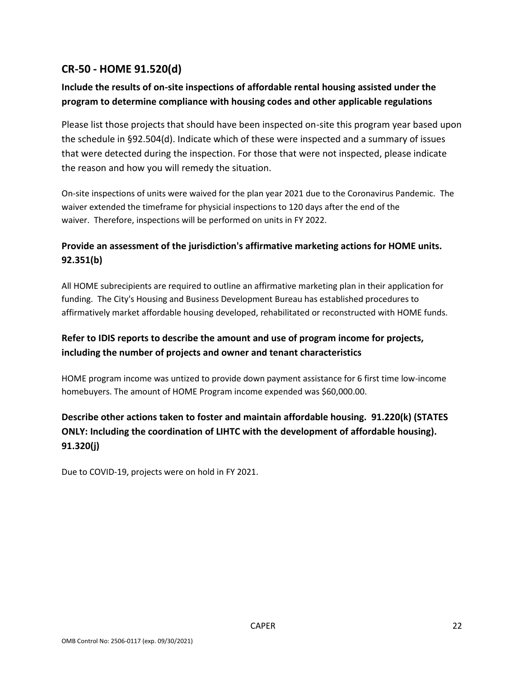## **CR-50 - HOME 91.520(d)**

## **Include the results of on-site inspections of affordable rental housing assisted under the program to determine compliance with housing codes and other applicable regulations**

Please list those projects that should have been inspected on-site this program year based upon the schedule in §92.504(d). Indicate which of these were inspected and a summary of issues that were detected during the inspection. For those that were not inspected, please indicate the reason and how you will remedy the situation.

On-site inspections of units were waived for the plan year 2021 due to the Coronavirus Pandemic. The waiver extended the timeframe for physicial inspections to 120 days after the end of the waiver. Therefore, inspections will be performed on units in FY 2022.

## **Provide an assessment of the jurisdiction's affirmative marketing actions for HOME units. 92.351(b)**

All HOME subrecipients are required to outline an affirmative marketing plan in their application for funding. The City's Housing and Business Development Bureau has established procedures to affirmatively market affordable housing developed, rehabilitated or reconstructed with HOME funds.

## **Refer to IDIS reports to describe the amount and use of program income for projects, including the number of projects and owner and tenant characteristics**

HOME program income was untized to provide down payment assistance for 6 first time low-income homebuyers. The amount of HOME Program income expended was \$60,000.00.

## **Describe other actions taken to foster and maintain affordable housing. 91.220(k) (STATES ONLY: Including the coordination of LIHTC with the development of affordable housing). 91.320(j)**

Due to COVID-19, projects were on hold in FY 2021.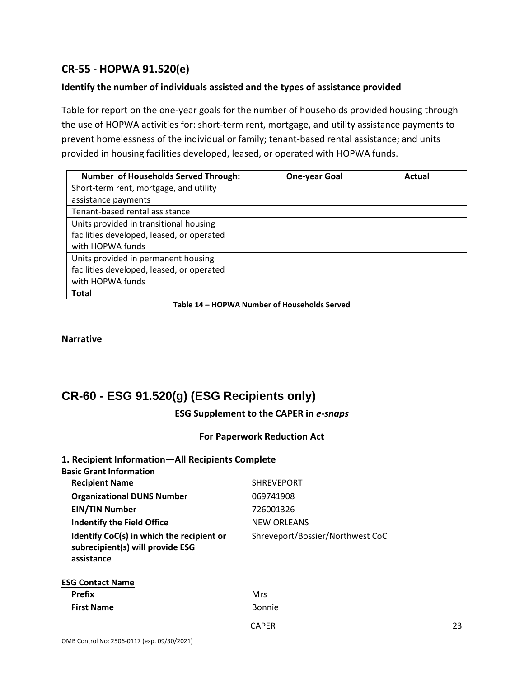## **CR-55 - HOPWA 91.520(e)**

### **Identify the number of individuals assisted and the types of assistance provided**

Table for report on the one-year goals for the number of households provided housing through the use of HOPWA activities for: short-term rent, mortgage, and utility assistance payments to prevent homelessness of the individual or family; tenant-based rental assistance; and units provided in housing facilities developed, leased, or operated with HOPWA funds.

| <b>Number of Households Served Through:</b> | <b>One-year Goal</b> | Actual |
|---------------------------------------------|----------------------|--------|
| Short-term rent, mortgage, and utility      |                      |        |
| assistance payments                         |                      |        |
| Tenant-based rental assistance              |                      |        |
| Units provided in transitional housing      |                      |        |
| facilities developed, leased, or operated   |                      |        |
| with HOPWA funds                            |                      |        |
| Units provided in permanent housing         |                      |        |
| facilities developed, leased, or operated   |                      |        |
| with HOPWA funds                            |                      |        |
| <b>Total</b>                                |                      |        |

**Table 14 – HOPWA Number of Households Served**

**Narrative**

# **CR-60 - ESG 91.520(g) (ESG Recipients only)**

**ESG Supplement to the CAPER in** *e-snaps*

#### **For Paperwork Reduction Act**

#### **1. Recipient Information—All Recipients Complete Basic Grant Information**

| <b>Recipient Name</b>                                                                       | <b>SHREVEPORT</b>                |
|---------------------------------------------------------------------------------------------|----------------------------------|
| <b>Organizational DUNS Number</b>                                                           | 069741908                        |
| <b>EIN/TIN Number</b>                                                                       | 726001326                        |
| Indentify the Field Office                                                                  | NEW ORLEANS                      |
| Identify CoC(s) in which the recipient or<br>subrecipient(s) will provide ESG<br>assistance | Shreveport/Bossier/Northwest CoC |
| <b>ESG Contact Name</b>                                                                     |                                  |
| <b>Prefix</b>                                                                               | Mrs                              |
| <b>First Name</b>                                                                           | <b>Bonnie</b>                    |
|                                                                                             |                                  |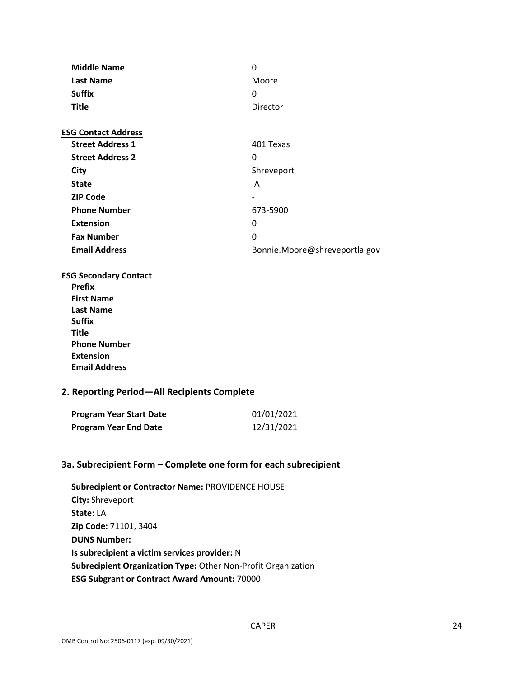| <b>Middle Name</b>         | 0                             |
|----------------------------|-------------------------------|
| <b>Last Name</b>           | Moore                         |
| <b>Suffix</b>              | 0                             |
| <b>Title</b>               | Director                      |
| <b>ESG Contact Address</b> |                               |
| <b>Street Address 1</b>    | 401 Texas                     |
| <b>Street Address 2</b>    | 0                             |
| City                       | Shreveport                    |
| <b>State</b>               | IA                            |
| <b>ZIP Code</b>            | -                             |
| <b>Phone Number</b>        | 673-5900                      |
| <b>Extension</b>           | 0                             |
| <b>Fax Number</b>          | 0                             |
| <b>Email Address</b>       | Bonnie.Moore@shreveportla.gov |

#### **ESG Secondary Contact**

**Prefix First Name Last Name Suffix Title Phone Number Extension Email Address**

#### **2. Reporting Period—All Recipients Complete**

| <b>Program Year Start Date</b> | 01/01/2021 |
|--------------------------------|------------|
| <b>Program Year End Date</b>   | 12/31/2021 |

#### **3a. Subrecipient Form – Complete one form for each subrecipient**

**Subrecipient or Contractor Name:** PROVIDENCE HOUSE **City:** Shreveport **State:** LA **Zip Code:** 71101, 3404 **DUNS Number: Is subrecipient a victim services provider:** N **Subrecipient Organization Type:** Other Non-Profit Organization **ESG Subgrant or Contract Award Amount:** 70000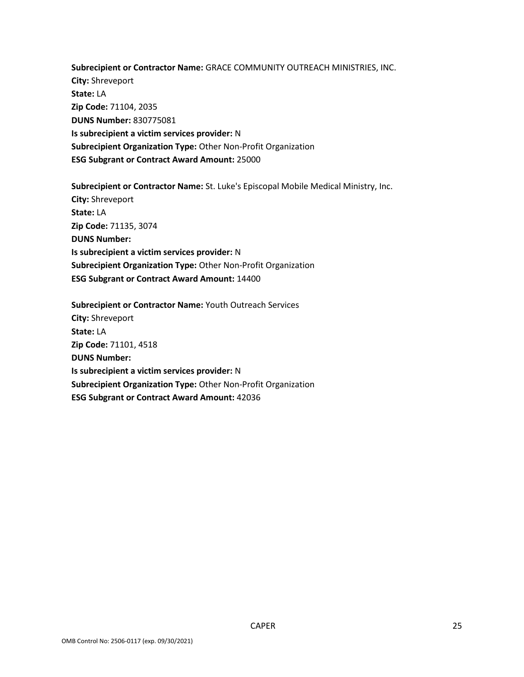**Subrecipient or Contractor Name:** GRACE COMMUNITY OUTREACH MINISTRIES, INC. **City:** Shreveport **State:** LA **Zip Code:** 71104, 2035 **DUNS Number:** 830775081 **Is subrecipient a victim services provider:** N **Subrecipient Organization Type:** Other Non-Profit Organization **ESG Subgrant or Contract Award Amount:** 25000

**Subrecipient or Contractor Name:** St. Luke's Episcopal Mobile Medical Ministry, Inc. **City:** Shreveport **State:** LA **Zip Code:** 71135, 3074 **DUNS Number: Is subrecipient a victim services provider:** N **Subrecipient Organization Type:** Other Non-Profit Organization **ESG Subgrant or Contract Award Amount:** 14400

**Subrecipient or Contractor Name:** Youth Outreach Services **City:** Shreveport **State:** LA **Zip Code:** 71101, 4518 **DUNS Number: Is subrecipient a victim services provider:** N **Subrecipient Organization Type:** Other Non-Profit Organization **ESG Subgrant or Contract Award Amount:** 42036

CAPER 25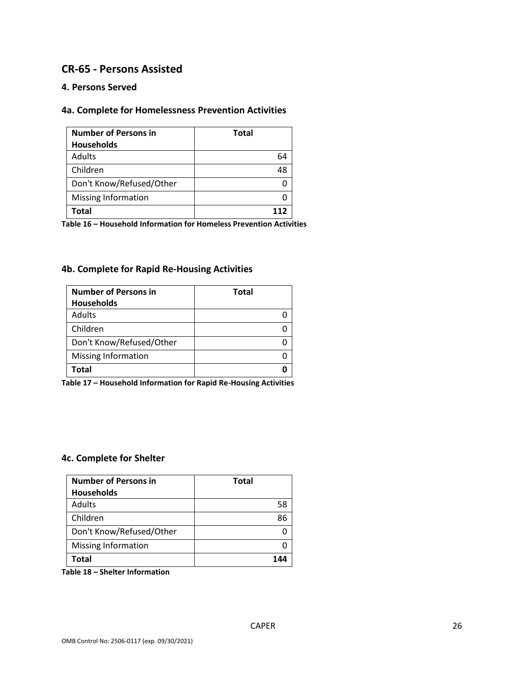## **CR-65 - Persons Assisted**

### **4. Persons Served**

### **4a. Complete for Homelessness Prevention Activities**

| <b>Number of Persons in</b> | <b>Total</b> |
|-----------------------------|--------------|
| <b>Households</b>           |              |
| Adults                      | 64           |
| Children                    | 48           |
| Don't Know/Refused/Other    |              |
| <b>Missing Information</b>  |              |
| Total                       |              |

**Table 16 – Household Information for Homeless Prevention Activities**

#### **4b. Complete for Rapid Re-Housing Activities**

| <b>Number of Persons in</b> | <b>Total</b> |
|-----------------------------|--------------|
| <b>Households</b>           |              |
| Adults                      |              |
| Children                    |              |
| Don't Know/Refused/Other    |              |
| <b>Missing Information</b>  |              |
| <b>Total</b>                |              |

**Table 17 – Household Information for Rapid Re-Housing Activities**

#### **4c. Complete for Shelter**

| <b>Number of Persons in</b><br><b>Households</b> | <b>Total</b> |
|--------------------------------------------------|--------------|
| <b>Adults</b>                                    | 58           |
| Children                                         |              |
| Don't Know/Refused/Other                         |              |
| <b>Missing Information</b>                       |              |
| Total                                            |              |

**Table 18 – Shelter Information**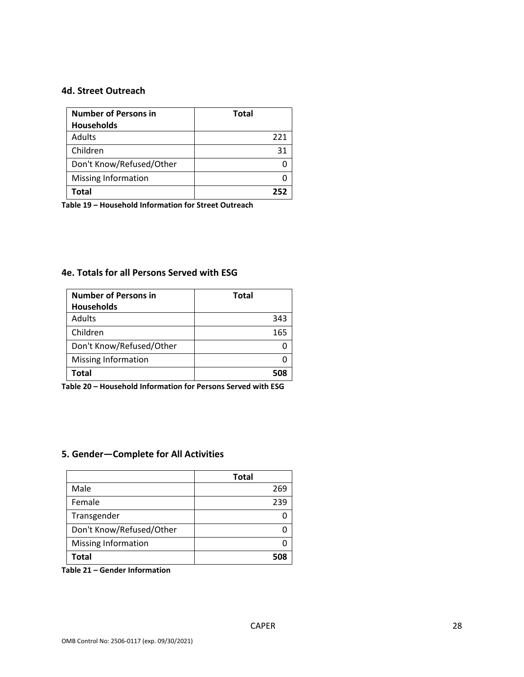#### **4d. Street Outreach**

| <b>Number of Persons in</b> | <b>Total</b> |
|-----------------------------|--------------|
| <b>Households</b>           |              |
| Adults                      | 221          |
| Children                    | 31           |
| Don't Know/Refused/Other    |              |
| <b>Missing Information</b>  |              |
| Total                       | 25.          |

**Table 19 – Household Information for Street Outreach** 

#### **4e. Totals for all Persons Served with ESG**

| <b>Number of Persons in</b> | <b>Total</b> |
|-----------------------------|--------------|
| <b>Households</b>           |              |
| <b>Adults</b>               | 343          |
| Children                    | 165          |
| Don't Know/Refused/Other    |              |
| <b>Missing Information</b>  |              |
| Total                       |              |

**Table 20 – Household Information for Persons Served with ESG**

### **5. Gender—Complete for All Activities**

|                            | <b>Total</b> |
|----------------------------|--------------|
| Male                       | 269          |
| Female                     | 239          |
| Transgender                |              |
| Don't Know/Refused/Other   |              |
| <b>Missing Information</b> |              |
| Total                      |              |

**Table 21 – Gender Information**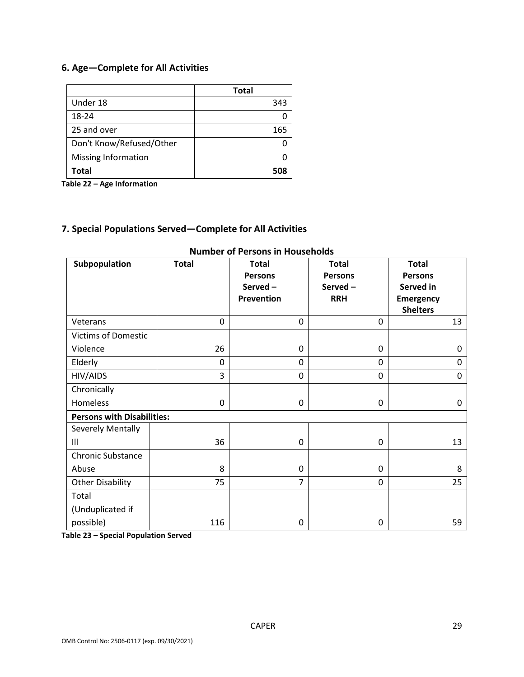## **6. Age—Complete for All Activities**

|                            | <b>Total</b> |
|----------------------------|--------------|
| Under 18                   | 343          |
| 18-24                      |              |
| 25 and over                | 165          |
| Don't Know/Refused/Other   |              |
| <b>Missing Information</b> |              |
| Total                      | 508          |

**Table 22 – Age Information**

### **7. Special Populations Served—Complete for All Activities**

| Subpopulation                     | <b>Total</b> | <b>Total</b><br><b>Persons</b><br>Served-<br><b>Prevention</b> | <b>Total</b><br><b>Persons</b><br>Served-<br><b>RRH</b> | <b>Total</b><br><b>Persons</b><br>Served in<br><b>Emergency</b><br><b>Shelters</b> |
|-----------------------------------|--------------|----------------------------------------------------------------|---------------------------------------------------------|------------------------------------------------------------------------------------|
| Veterans                          | 0            | 0                                                              | 0                                                       | 13                                                                                 |
| <b>Victims of Domestic</b>        |              |                                                                |                                                         |                                                                                    |
| Violence                          | 26           | 0                                                              | 0                                                       | 0                                                                                  |
| Elderly                           | 0            | 0                                                              | 0                                                       | 0                                                                                  |
| HIV/AIDS                          | 3            | 0                                                              | $\mathbf 0$                                             | 0                                                                                  |
| Chronically                       |              |                                                                |                                                         |                                                                                    |
| Homeless                          | 0            | 0                                                              | 0                                                       | 0                                                                                  |
| <b>Persons with Disabilities:</b> |              |                                                                |                                                         |                                                                                    |
| Severely Mentally                 |              |                                                                |                                                         |                                                                                    |
| III                               | 36           | 0                                                              | 0                                                       | 13                                                                                 |
| <b>Chronic Substance</b>          |              |                                                                |                                                         |                                                                                    |
| Abuse                             | 8            | 0                                                              | 0                                                       | 8                                                                                  |
| Other Disability                  | 75           | $\overline{7}$                                                 | 0                                                       | 25                                                                                 |
| Total                             |              |                                                                |                                                         |                                                                                    |
| (Unduplicated if                  |              |                                                                |                                                         |                                                                                    |
| possible)                         | 116          | 0                                                              | 0                                                       | 59                                                                                 |

#### **Number of Persons in Households**

**Table 23 – Special Population Served**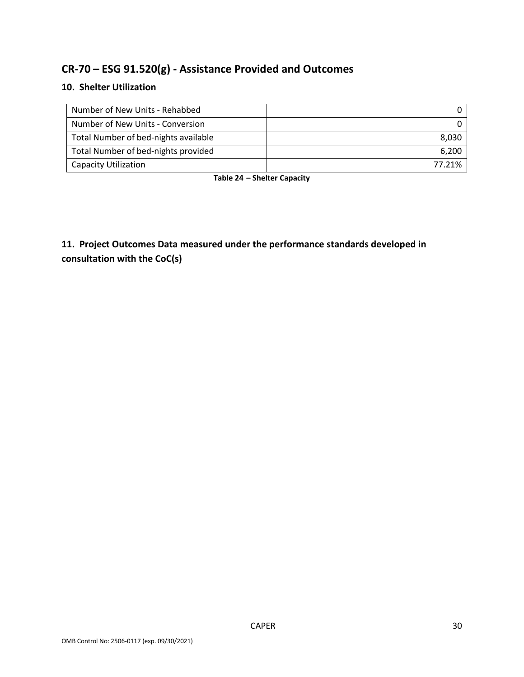# **CR-70 – ESG 91.520(g) - Assistance Provided and Outcomes**

## **10. Shelter Utilization**

| Number of New Units - Rehabbed       |        |
|--------------------------------------|--------|
| Number of New Units - Conversion     |        |
| Total Number of bed-nights available | 8.030  |
| Total Number of bed-nights provided  | 6,200  |
| <b>Capacity Utilization</b>          | 77.21% |

**Table 24 – Shelter Capacity**

**11. Project Outcomes Data measured under the performance standards developed in consultation with the CoC(s)**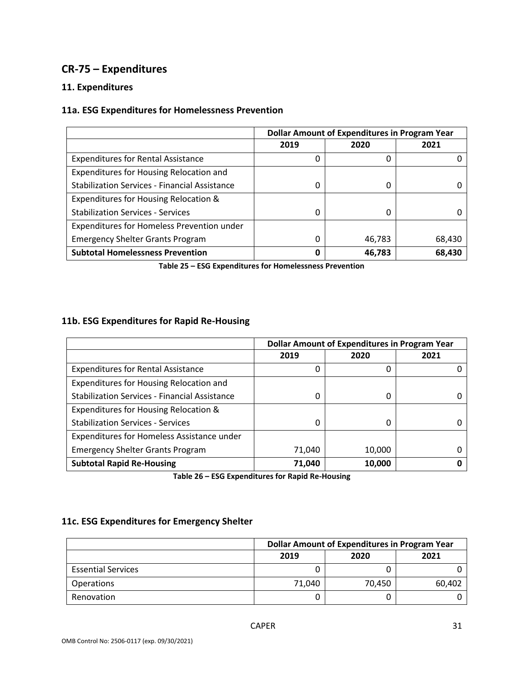## **CR-75 – Expenditures**

### **11. Expenditures**

## **11a. ESG Expenditures for Homelessness Prevention**

|                                                      | <b>Dollar Amount of Expenditures in Program Year</b> |        |        |
|------------------------------------------------------|------------------------------------------------------|--------|--------|
|                                                      | 2019                                                 | 2020   | 2021   |
| <b>Expenditures for Rental Assistance</b>            |                                                      | 0      |        |
| Expenditures for Housing Relocation and              |                                                      |        |        |
| <b>Stabilization Services - Financial Assistance</b> |                                                      | 0      |        |
| Expenditures for Housing Relocation &                |                                                      |        |        |
| <b>Stabilization Services - Services</b>             | <sup>0</sup>                                         | 0      |        |
| Expenditures for Homeless Prevention under           |                                                      |        |        |
| <b>Emergency Shelter Grants Program</b>              | 0                                                    | 46,783 | 68,430 |
| <b>Subtotal Homelessness Prevention</b>              |                                                      | 46,783 | 68,430 |

**Table 25 – ESG Expenditures for Homelessness Prevention**

## **11b. ESG Expenditures for Rapid Re-Housing**

|                                                      | <b>Dollar Amount of Expenditures in Program Year</b> |        |      |
|------------------------------------------------------|------------------------------------------------------|--------|------|
|                                                      | 2019                                                 | 2020   | 2021 |
| <b>Expenditures for Rental Assistance</b>            |                                                      | 0      |      |
| Expenditures for Housing Relocation and              |                                                      |        |      |
| <b>Stabilization Services - Financial Assistance</b> |                                                      | 0      |      |
| Expenditures for Housing Relocation &                |                                                      |        |      |
| <b>Stabilization Services - Services</b>             | $\Omega$                                             | 0      |      |
| Expenditures for Homeless Assistance under           |                                                      |        |      |
| <b>Emergency Shelter Grants Program</b>              | 71,040                                               | 10,000 |      |
| <b>Subtotal Rapid Re-Housing</b>                     | 71,040                                               | 10,000 |      |

**Table 26 – ESG Expenditures for Rapid Re-Housing**

### **11c. ESG Expenditures for Emergency Shelter**

|                           | <b>Dollar Amount of Expenditures in Program Year</b> |        |        |
|---------------------------|------------------------------------------------------|--------|--------|
|                           | 2019                                                 | 2020   | 2021   |
| <b>Essential Services</b> |                                                      |        |        |
| <b>Operations</b>         | 71.040                                               | 70,450 | 60,402 |
| Renovation                |                                                      |        |        |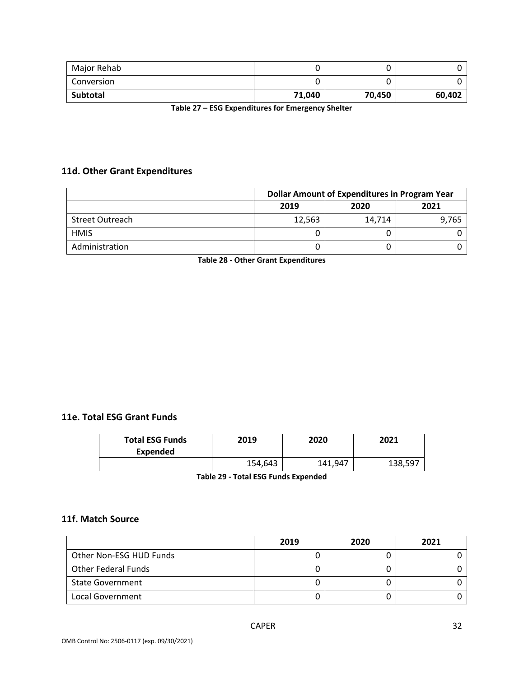| Major Rehab |        | u      |        |
|-------------|--------|--------|--------|
| Conversion  |        |        |        |
| Subtotal    | 71,040 | 70,450 | 60,402 |

**Table 27 – ESG Expenditures for Emergency Shelter**

## **11d. Other Grant Expenditures**

|                        | <b>Dollar Amount of Expenditures in Program Year</b> |        |       |
|------------------------|------------------------------------------------------|--------|-------|
|                        | 2019                                                 | 2020   | 2021  |
| <b>Street Outreach</b> | 12,563                                               | 14,714 | 9,765 |
| <b>HMIS</b>            |                                                      | 0      |       |
| Administration         |                                                      | 0      |       |

**Table 28 - Other Grant Expenditures**

### **11e. Total ESG Grant Funds**

| <b>Total ESG Funds</b><br><b>Expended</b> | 2019    | 2020    | 2021    |
|-------------------------------------------|---------|---------|---------|
|                                           | 154,643 | 141,947 | 138,597 |

**Table 29 - Total ESG Funds Expended**

### **11f. Match Source**

|                            | 2019 | 2020 | 2021 |
|----------------------------|------|------|------|
| Other Non-ESG HUD Funds    |      |      |      |
| <b>Other Federal Funds</b> |      |      |      |
| <b>State Government</b>    |      |      |      |
| Local Government           |      |      |      |